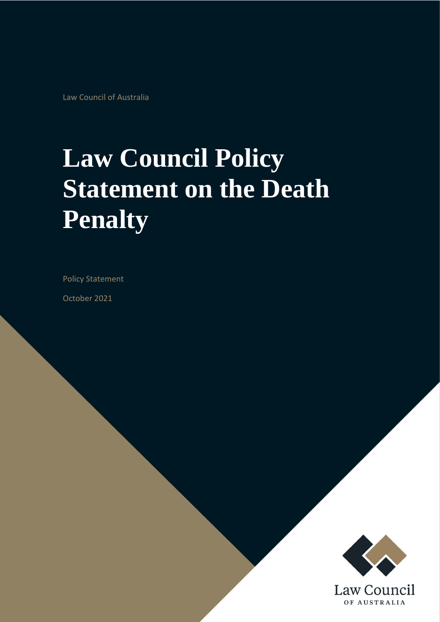Law Council of Australia

# **Law Council Policy Statement on the Death Penalty**

Policy Statement

October 2021

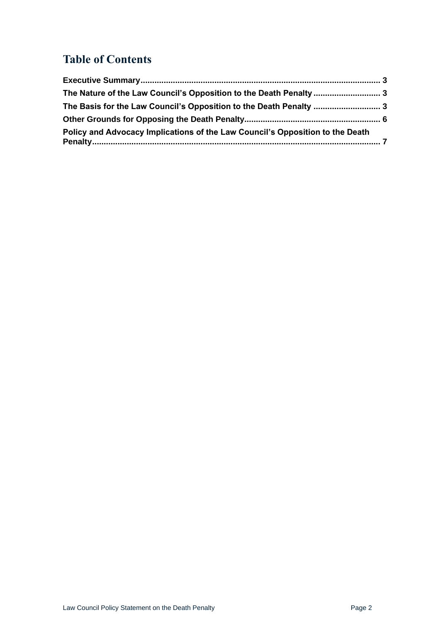## **Table of Contents**

| Policy and Advocacy Implications of the Law Council's Opposition to the Death |
|-------------------------------------------------------------------------------|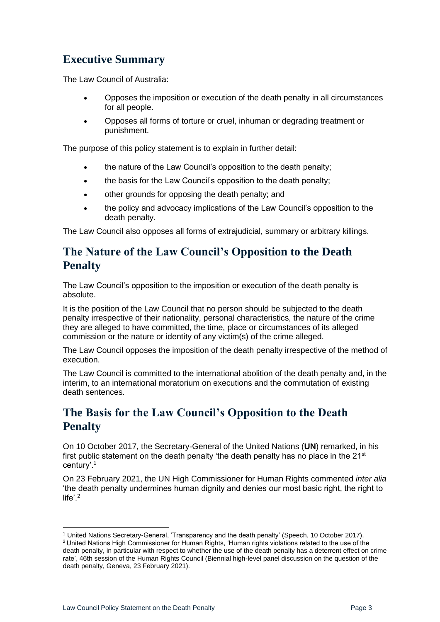## <span id="page-2-0"></span>**Executive Summary**

The Law Council of Australia:

- Opposes the imposition or execution of the death penalty in all circumstances for all people.
- Opposes all forms of torture or cruel, inhuman or degrading treatment or punishment.

The purpose of this policy statement is to explain in further detail:

- the nature of the Law Council's opposition to the death penalty;
- the basis for the Law Council's opposition to the death penalty;
- other grounds for opposing the death penalty; and
- the policy and advocacy implications of the Law Council's opposition to the death penalty.

The Law Council also opposes all forms of extrajudicial, summary or arbitrary killings.

#### <span id="page-2-1"></span>**The Nature of the Law Council's Opposition to the Death Penalty**

The Law Council's opposition to the imposition or execution of the death penalty is absolute.

It is the position of the Law Council that no person should be subjected to the death penalty irrespective of their nationality, personal characteristics, the nature of the crime they are alleged to have committed, the time, place or circumstances of its alleged commission or the nature or identity of any victim(s) of the crime alleged.

The Law Council opposes the imposition of the death penalty irrespective of the method of execution.

The Law Council is committed to the international abolition of the death penalty and, in the interim, to an international moratorium on executions and the commutation of existing death sentences.

#### <span id="page-2-2"></span>**The Basis for the Law Council's Opposition to the Death Penalty**

On 10 October 2017, the Secretary-General of the United Nations (**UN**) remarked, in his first public statement on the death penalty 'the death penalty has no place in the  $21<sup>st</sup>$ century'.<sup>1</sup>

On 23 February 2021, the UN High Commissioner for Human Rights commented *inter alia* 'the death penalty undermines human dignity and denies our most basic right, the right to life'.<sup>2</sup>

<sup>&</sup>lt;sup>1</sup> United Nations Secretary-General, 'Transparency and the death penalty' (Speech, 10 October 2017). <sup>2</sup> United Nations High Commissioner for Human Rights, 'Human rights violations related to the use of the death penalty, in particular with respect to whether the use of the death penalty has a deterrent effect on crime rate', 46th session of the Human Rights Council (Biennial high-level panel discussion on the question of the death penalty, Geneva, 23 February 2021).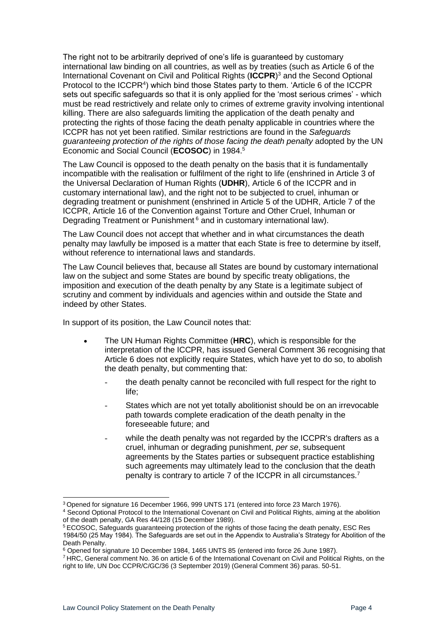The right not to be arbitrarily deprived of one's life is guaranteed by customary international law binding on all countries, as well as by treaties (such as Article 6 of the International Covenant on Civil and Political Rights (**ICCPR**) <sup>3</sup> and the Second Optional Protocol to the ICCPR<sup>4</sup>) which bind those States party to them. 'Article 6 of the ICCPR sets out specific safeguards so that it is only applied for the 'most serious crimes' - which must be read restrictively and relate only to crimes of extreme gravity involving intentional killing. There are also safeguards limiting the application of the death penalty and protecting the rights of those facing the death penalty applicable in countries where the ICCPR has not yet been ratified. Similar restrictions are found in the *Safeguards guaranteeing protection of the rights of those facing the death penalty* adopted by the UN Economic and Social Council (**ECOSOC**) in 1984.<sup>5</sup>

The Law Council is opposed to the death penalty on the basis that it is fundamentally incompatible with the realisation or fulfilment of the right to life (enshrined in Article 3 of the Universal Declaration of Human Rights (**UDHR**), Article 6 of the ICCPR and in customary international law), and the right not to be subjected to cruel, inhuman or degrading treatment or punishment (enshrined in Article 5 of the UDHR, Article 7 of the ICCPR, Article 16 of the Convention against Torture and Other Cruel, Inhuman or Degrading Treatment or Punishment<sup>6</sup> and in customary international law).

The Law Council does not accept that whether and in what circumstances the death penalty may lawfully be imposed is a matter that each State is free to determine by itself, without reference to international laws and standards.

The Law Council believes that, because all States are bound by customary international law on the subject and some States are bound by specific treaty obligations, the imposition and execution of the death penalty by any State is a legitimate subject of scrutiny and comment by individuals and agencies within and outside the State and indeed by other States.

In support of its position, the Law Council notes that:

- The UN Human Rights Committee (**HRC**), which is responsible for the interpretation of the ICCPR, has issued General Comment 36 recognising that Article 6 does not explicitly require States, which have yet to do so, to abolish the death penalty, but commenting that:
	- the death penalty cannot be reconciled with full respect for the right to life;
	- States which are not yet totally abolitionist should be on an irrevocable path towards complete eradication of the death penalty in the foreseeable future; and
	- while the death penalty was not regarded by the ICCPR's drafters as a cruel, inhuman or degrading punishment, *per se*, subsequent agreements by the States parties or subsequent practice establishing such agreements may ultimately lead to the conclusion that the death penalty is contrary to article 7 of the ICCPR in all circumstances.<sup>7</sup>

<sup>3</sup> Opened for signature 16 December 1966, 999 UNTS 171 (entered into force 23 March 1976). <sup>4</sup> Second Optional Protocol to the International Covenant on Civil and Political Rights, aiming at the abolition of the death penalty, GA Res 44/128 (15 December 1989).

<sup>5</sup> ECOSOC, [Safeguards](https://www.ohchr.org/EN/ProfessionalInterest/Pages/DeathPenalty.aspx) guaranteeing protection of the rights of those facing the death penalty, ESC Res 1984/50 (25 May 1984). The Safeguards are set out in the Appendix to Australia's Strategy for Abolition of the Death Penalty.

<sup>&</sup>lt;sup>6</sup> Opened for signature 10 December 1984, 1465 UNTS 85 (entered into force 26 June 1987).

<sup>7</sup> HRC, General comment No. 36 on article 6 of the International Covenant on Civil and Political Rights, on the right to life, UN Doc CCPR/C/GC/36 (3 September 2019) (General Comment 36) paras. 50-51.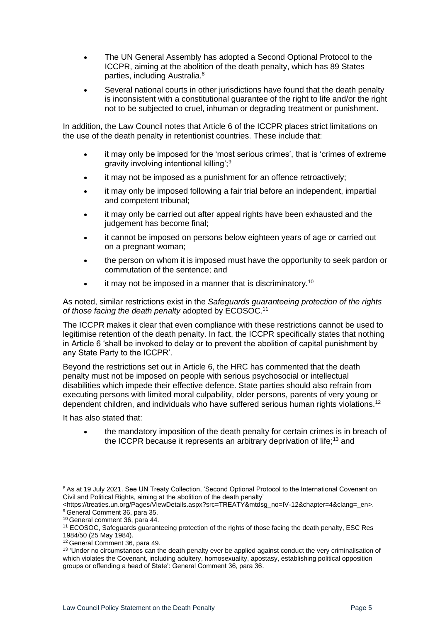- The UN General Assembly has adopted a Second Optional Protocol to the ICCPR, aiming at the abolition of the death penalty, which has 89 States parties, including Australia.<sup>8</sup>
- Several national courts in other jurisdictions have found that the death penalty is inconsistent with a constitutional guarantee of the right to life and/or the right not to be subjected to cruel, inhuman or degrading treatment or punishment.

In addition, the Law Council notes that Article 6 of the ICCPR places strict limitations on the use of the death penalty in retentionist countries. These include that:

- it may only be imposed for the 'most serious crimes', that is 'crimes of extreme gravity involving intentional killing';<sup>9</sup>
- it may not be imposed as a punishment for an offence retroactively;
- it may only be imposed following a fair trial before an independent, impartial and competent tribunal;
- it may only be carried out after appeal rights have been exhausted and the judgement has become final:
- it cannot be imposed on persons below eighteen years of age or carried out on a pregnant woman;
- the person on whom it is imposed must have the opportunity to seek pardon or commutation of the sentence; and
- it may not be imposed in a manner that is discriminatory.<sup>10</sup>

As noted, similar restrictions exist in the *Safeguards guaranteeing protection of the rights of those facing the death penalty* adopted by ECOSOC.<sup>11</sup>

The ICCPR makes it clear that even compliance with these restrictions cannot be used to legitimise retention of the death penalty. In fact, the ICCPR specifically states that nothing in Article 6 'shall be invoked to delay or to prevent the abolition of capital punishment by any State Party to the ICCPR'.

Beyond the restrictions set out in Article 6, the HRC has commented that the death penalty must not be imposed on people with serious psychosocial or intellectual disabilities which impede their effective defence. State parties should also refrain from executing persons with limited moral culpability, older persons, parents of very young or dependent children, and individuals who have suffered serious human rights violations.<sup>12</sup>

It has also stated that:

• the mandatory imposition of the death penalty for certain crimes is in breach of the ICCPR because it represents an arbitrary deprivation of life;<sup>13</sup> and

<sup>12</sup> General Comment 36, para 49.

<sup>&</sup>lt;sup>8</sup> As at 19 July 2021. See UN Treaty Collection, 'Second Optional Protocol to the International Covenant on Civil and Political Rights, aiming at the abolition of the death penalty'

[<sup>&</sup>lt;https://treaties.un.org/Pages/ViewDetails.aspx?src=TREATY&mtdsg\\_no=IV-12&chapter=4&clang=\\_en>](https://treaties.un.org/Pages/ViewDetails.aspx?src=TREATY&mtdsg_no=IV-12&chapter=4&clang=_en). <sup>9</sup> General Comment 36, para 35.

<sup>10</sup> General comment 36, para 44.

<sup>11</sup> ECOSOC, [Safeguards](https://www.ohchr.org/EN/ProfessionalInterest/Pages/DeathPenalty.aspx) guaranteeing protection of the rights of those facing the death penalty, ESC Res 1984/50 (25 May 1984).

<sup>&</sup>lt;sup>13</sup> 'Under no circumstances can the death penalty ever be applied against conduct the very criminalisation of which violates the Covenant, including adultery, homosexuality, apostasy, establishing political opposition groups or offending a head of State': General Comment 36, para 36.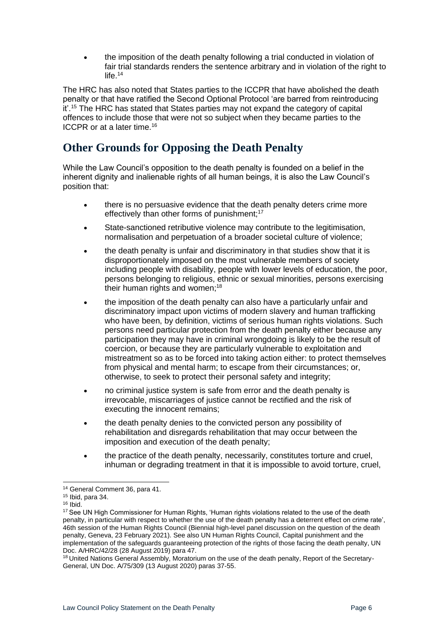• the imposition of the death penalty following a trial conducted in violation of fair trial standards renders the sentence arbitrary and in violation of the right to life.<sup>14</sup>

The HRC has also noted that States parties to the ICCPR that have abolished the death penalty or that have ratified the Second Optional Protocol 'are barred from reintroducing it'.<sup>15</sup> The HRC has stated that States parties may not expand the category of capital offences to include those that were not so subject when they became parties to the ICCPR or at a later time.<sup>16</sup>

## <span id="page-5-0"></span>**Other Grounds for Opposing the Death Penalty**

While the Law Council's opposition to the death penalty is founded on a belief in the inherent dignity and inalienable rights of all human beings, it is also the Law Council's position that:

- there is no persuasive evidence that the death penalty deters crime more effectively than other forms of punishment;<sup>17</sup>
- State-sanctioned retributive violence may contribute to the legitimisation, normalisation and perpetuation of a broader societal culture of violence;
- the death penalty is unfair and discriminatory in that studies show that it is disproportionately imposed on the most vulnerable members of society including people with disability, people with lower levels of education, the poor, persons belonging to religious, ethnic or sexual minorities, persons exercising their human rights and women; $18$
- the imposition of the death penalty can also have a particularly unfair and discriminatory impact upon victims of modern slavery and human trafficking who have been, by definition, victims of serious human rights violations. Such persons need particular protection from the death penalty either because any participation they may have in criminal wrongdoing is likely to be the result of coercion, or because they are particularly vulnerable to exploitation and mistreatment so as to be forced into taking action either: to protect themselves from physical and mental harm; to escape from their circumstances; or, otherwise, to seek to protect their personal safety and integrity;
- no criminal justice system is safe from error and the death penalty is irrevocable, miscarriages of justice cannot be rectified and the risk of executing the innocent remains;
- the death penalty denies to the convicted person any possibility of rehabilitation and disregards rehabilitation that may occur between the imposition and execution of the death penalty;
- the practice of the death penalty, necessarily, constitutes torture and cruel, inhuman or degrading treatment in that it is impossible to avoid torture, cruel,

<sup>14</sup> General Comment 36, para 41.

<sup>15</sup> Ibid, para 34.

<sup>16</sup> Ibid.

<sup>&</sup>lt;sup>17</sup> See UN High Commissioner for Human Rights, 'Human rights violations related to the use of the death penalty, in particular with respect to whether the use of the death penalty has a deterrent effect on crime rate', 46th session of the Human Rights Council (Biennial high-level panel discussion on the question of the death penalty, Geneva, 23 February 2021). See also UN Human Rights Council, Capital punishment and the implementation of the safeguards guaranteeing protection of the rights of those facing the death penalty, UN Doc. A/HRC/42/28 (28 August 2019) para 47.

<sup>&</sup>lt;sup>18</sup> United Nations General Assembly, Moratorium on the use of the death penalty, Report of the Secretary-General, UN Doc. A/75/309 (13 August 2020) paras 37-55.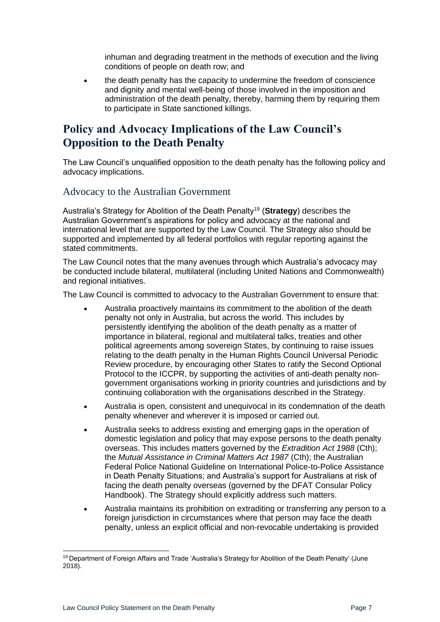inhuman and degrading treatment in the methods of execution and the living conditions of people on death row; and

• the death penalty has the capacity to undermine the freedom of conscience and dignity and mental well-being of those involved in the imposition and administration of the death penalty, thereby, harming them by requiring them to participate in State sanctioned killings.

#### <span id="page-6-0"></span>**Policy and Advocacy Implications of the Law Council's Opposition to the Death Penalty**

The Law Council's unqualified opposition to the death penalty has the following policy and advocacy implications.

#### Advocacy to the Australian Government

Australia's Strategy for Abolition of the Death Penalty<sup>19</sup> (**Strategy**) describes the Australian Government's aspirations for policy and advocacy at the national and international level that are supported by the Law Council. The Strategy also should be supported and implemented by all federal portfolios with regular reporting against the stated commitments.

The Law Council notes that the many avenues through which Australia's advocacy may be conducted include bilateral, multilateral (including United Nations and Commonwealth) and regional initiatives.

The Law Council is committed to advocacy to the Australian Government to ensure that:

- Australia proactively maintains its commitment to the abolition of the death penalty not only in Australia, but across the world. This includes by persistently identifying the abolition of the death penalty as a matter of importance in bilateral, regional and multilateral talks, treaties and other political agreements among sovereign States, by continuing to raise issues relating to the death penalty in the Human Rights Council Universal Periodic Review procedure, by encouraging other States to ratify the Second Optional Protocol to the ICCPR, by supporting the activities of anti-death penalty nongovernment organisations working in priority countries and jurisdictions and by continuing collaboration with the organisations described in the Strategy.
- Australia is open, consistent and unequivocal in its condemnation of the death penalty whenever and wherever it is imposed or carried out.
- Australia seeks to address existing and emerging gaps in the operation of domestic legislation and policy that may expose persons to the death penalty overseas. This includes matters governed by the *Extradition Act 1988* (Cth); the *Mutual Assistance in Criminal Matters Act 1987* (Cth); the Australian Federal Police National Guideline on International Police-to-Police Assistance in Death Penalty Situations; and Australia's support for Australians at risk of facing the death penalty overseas (governed by the DFAT Consular Policy Handbook). The Strategy should explicitly address such matters.
- Australia maintains its prohibition on extraditing or transferring any person to a foreign jurisdiction in circumstances where that person may face the death penalty, unless an explicit official and non-revocable undertaking is provided

<sup>&</sup>lt;sup>19</sup> Department of Foreign Affairs and Trade 'Australia's Strategy for Abolition of the Death Penalty' (June 2018).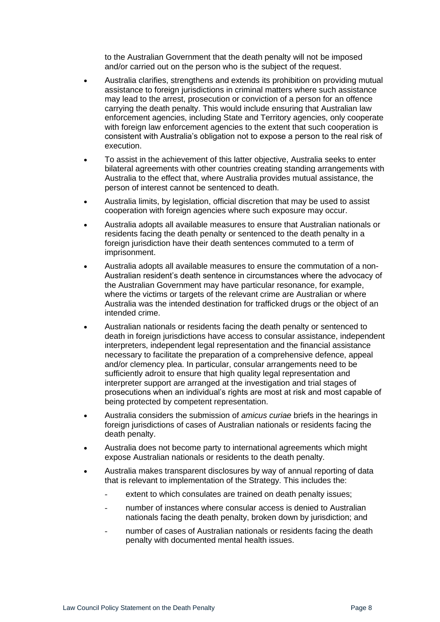to the Australian Government that the death penalty will not be imposed and/or carried out on the person who is the subject of the request.

- Australia clarifies, strengthens and extends its prohibition on providing mutual assistance to foreign jurisdictions in criminal matters where such assistance may lead to the arrest, prosecution or conviction of a person for an offence carrying the death penalty. This would include ensuring that Australian law enforcement agencies, including State and Territory agencies, only cooperate with foreign law enforcement agencies to the extent that such cooperation is consistent with Australia's obligation not to expose a person to the real risk of execution.
- To assist in the achievement of this latter objective, Australia seeks to enter bilateral agreements with other countries creating standing arrangements with Australia to the effect that, where Australia provides mutual assistance, the person of interest cannot be sentenced to death.
- Australia limits, by legislation, official discretion that may be used to assist cooperation with foreign agencies where such exposure may occur.
- Australia adopts all available measures to ensure that Australian nationals or residents facing the death penalty or sentenced to the death penalty in a foreign jurisdiction have their death sentences commuted to a term of imprisonment.
- Australia adopts all available measures to ensure the commutation of a non-Australian resident's death sentence in circumstances where the advocacy of the Australian Government may have particular resonance, for example, where the victims or targets of the relevant crime are Australian or where Australia was the intended destination for trafficked drugs or the object of an intended crime.
- Australian nationals or residents facing the death penalty or sentenced to death in foreign jurisdictions have access to consular assistance, independent interpreters, independent legal representation and the financial assistance necessary to facilitate the preparation of a comprehensive defence, appeal and/or clemency plea. In particular, consular arrangements need to be sufficiently adroit to ensure that high quality legal representation and interpreter support are arranged at the investigation and trial stages of prosecutions when an individual's rights are most at risk and most capable of being protected by competent representation.
- Australia considers the submission of *amicus curiae* briefs in the hearings in foreign jurisdictions of cases of Australian nationals or residents facing the death penalty.
- Australia does not become party to international agreements which might expose Australian nationals or residents to the death penalty.
- Australia makes transparent disclosures by way of annual reporting of data that is relevant to implementation of the Strategy. This includes the:
	- extent to which consulates are trained on death penalty issues;
	- number of instances where consular access is denied to Australian nationals facing the death penalty, broken down by jurisdiction; and
	- number of cases of Australian nationals or residents facing the death penalty with documented mental health issues.